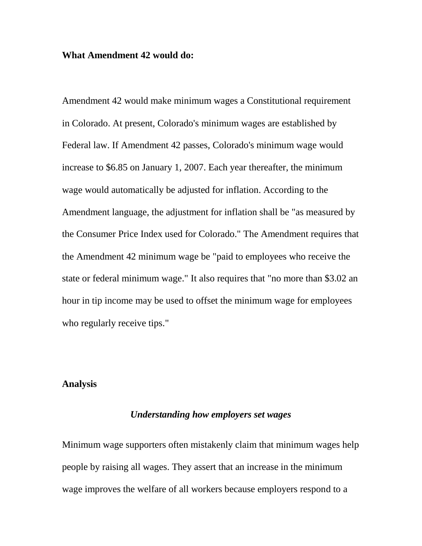#### **What Amendment 42 would do:**

Amendment 42 would make minimum wages a Constitutional requirement in Colorado. At present, Colorado's minimum wages are established by Federal law. If Amendment 42 passes, Colorado's minimum wage would increase to \$6.85 on January 1, 2007. Each year thereafter, the minimum wage would automatically be adjusted for inflation. According to the Amendment language, the adjustment for inflation shall be "as measured by the Consumer Price Index used for Colorado." The Amendment requires that the Amendment 42 minimum wage be "paid to employees who receive the state or federal minimum wage." It also requires that "no more than \$3.02 an hour in tip income may be used to offset the minimum wage for employees who regularly receive tips."

### **Analysis**

### *Understanding how employers set wages*

Minimum wage supporters often mistakenly claim that minimum wages help people by raising all wages. They assert that an increase in the minimum wage improves the welfare of all workers because employers respond to a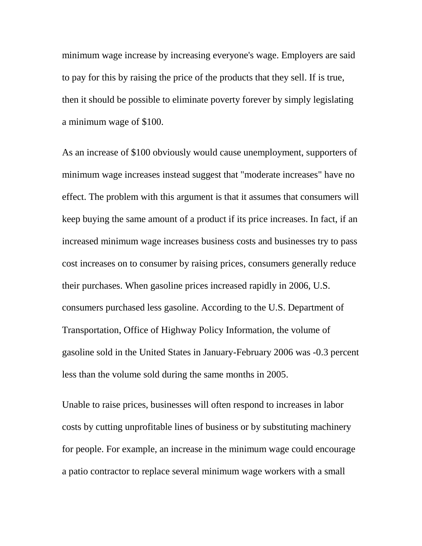minimum wage increase by increasing everyone's wage. Employers are said to pay for this by raising the price of the products that they sell. If is true, then it should be possible to eliminate poverty forever by simply legislating a minimum wage of \$100.

As an increase of \$100 obviously would cause unemployment, supporters of minimum wage increases instead suggest that "moderate increases" have no effect. The problem with this argument is that it assumes that consumers will keep buying the same amount of a product if its price increases. In fact, if an increased minimum wage increases business costs and businesses try to pass cost increases on to consumer by raising prices, consumers generally reduce their purchases. When gasoline prices increased rapidly in 2006, U.S. consumers purchased less gasoline. According to the U.S. Department of Transportation, Office of Highway Policy Information, the volume of gasoline sold in the United States in January-February 2006 was -0.3 percent less than the volume sold during the same months in 2005.

Unable to raise prices, businesses will often respond to increases in labor costs by cutting unprofitable lines of business or by substituting machinery for people. For example, an increase in the minimum wage could encourage a patio contractor to replace several minimum wage workers with a small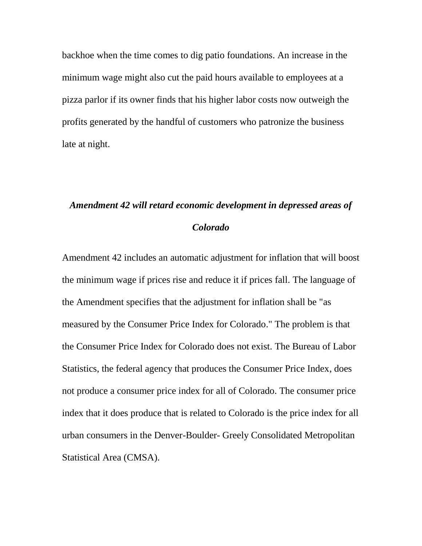backhoe when the time comes to dig patio foundations. An increase in the minimum wage might also cut the paid hours available to employees at a pizza parlor if its owner finds that his higher labor costs now outweigh the profits generated by the handful of customers who patronize the business late at night.

# *Amendment 42 will retard economic development in depressed areas of Colorado*

Amendment 42 includes an automatic adjustment for inflation that will boost the minimum wage if prices rise and reduce it if prices fall. The language of the Amendment specifies that the adjustment for inflation shall be "as measured by the Consumer Price Index for Colorado." The problem is that the Consumer Price Index for Colorado does not exist. The Bureau of Labor Statistics, the federal agency that produces the Consumer Price Index, does not produce a consumer price index for all of Colorado. The consumer price index that it does produce that is related to Colorado is the price index for all urban consumers in the Denver-Boulder- Greely Consolidated Metropolitan Statistical Area (CMSA).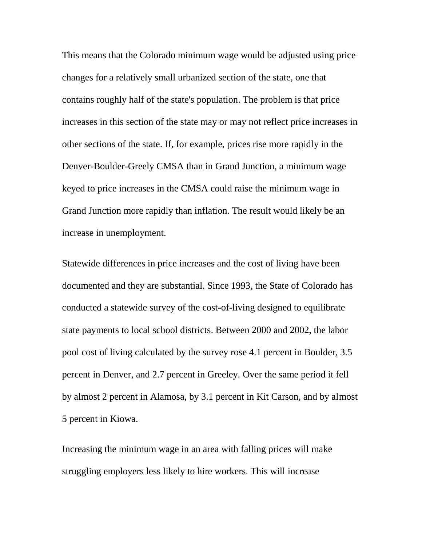This means that the Colorado minimum wage would be adjusted using price changes for a relatively small urbanized section of the state, one that contains roughly half of the state's population. The problem is that price increases in this section of the state may or may not reflect price increases in other sections of the state. If, for example, prices rise more rapidly in the Denver-Boulder-Greely CMSA than in Grand Junction, a minimum wage keyed to price increases in the CMSA could raise the minimum wage in Grand Junction more rapidly than inflation. The result would likely be an increase in unemployment.

Statewide differences in price increases and the cost of living have been documented and they are substantial. Since 1993, the State of Colorado has conducted a statewide survey of the cost-of-living designed to equilibrate state payments to local school districts. Between 2000 and 2002, the labor pool cost of living calculated by the survey rose 4.1 percent in Boulder, 3.5 percent in Denver, and 2.7 percent in Greeley. Over the same period it fell by almost 2 percent in Alamosa, by 3.1 percent in Kit Carson, and by almost 5 percent in Kiowa.

Increasing the minimum wage in an area with falling prices will make struggling employers less likely to hire workers. This will increase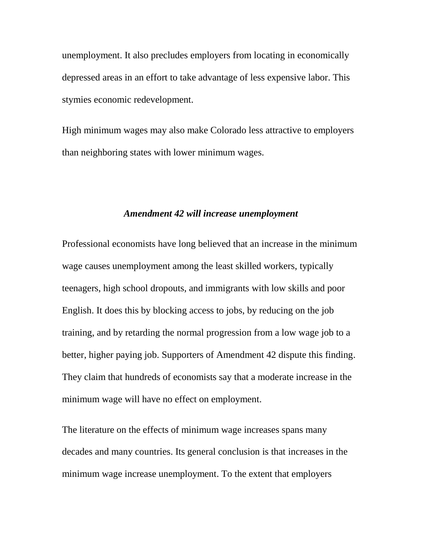unemployment. It also precludes employers from locating in economically depressed areas in an effort to take advantage of less expensive labor. This stymies economic redevelopment.

High minimum wages may also make Colorado less attractive to employers than neighboring states with lower minimum wages.

### *Amendment 42 will increase unemployment*

Professional economists have long believed that an increase in the minimum wage causes unemployment among the least skilled workers, typically teenagers, high school dropouts, and immigrants with low skills and poor English. It does this by blocking access to jobs, by reducing on the job training, and by retarding the normal progression from a low wage job to a better, higher paying job. Supporters of Amendment 42 dispute this finding. They claim that hundreds of economists say that a moderate increase in the minimum wage will have no effect on employment.

The literature on the effects of minimum wage increases spans many decades and many countries. Its general conclusion is that increases in the minimum wage increase unemployment. To the extent that employers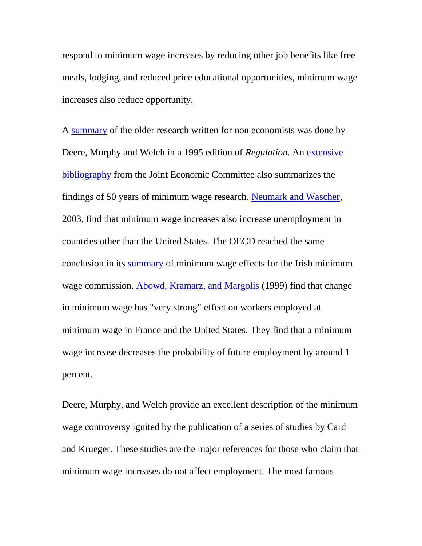respond to minimum wage increases by reducing other job benefits like free meals, lodging, and reduced price educational opportunities, minimum wage increases also reduce opportunity.

A [summary](http://www.cato.org/pubs/regulation/reg18n1c.html) of the older research written for non economists was done by Deere, Murphy and Welch in a 1995 edition of *Regulation.* An [extensive](http://www.house.gov/jec/cost-gov/regs/minimum/50years.htm) [bibliography](http://www.house.gov/jec/cost-gov/regs/minimum/50years.htm) from the Joint Economic Committee also summarizes the findings of 50 years of minimum wage research. [Neumark and Wascher,](http://www.federalreserve.gov/pubs/feds/2003/200323/200323pap.pdf#search=%22OECD%20%22minimum%20wage%22%20Neumark%22) 2003, find that minimum wage increases also increase unemployment in countries other than the United States. The OECD reached the same conclusion in its [summary](http://www.olis.oecd.org/OLIS/1997DOC.NSF/43bb6130e5e86e5fc12569fa005d004c/07d55af554c8b8fbc125657100425b90/$FILE/12E77672.DOC) of minimum wage effects for the Irish minimum wage commission. [Abowd, Kramarz, and Margolis](http://www.nber.org/papers/w6996) (1999) find that change in minimum wage has "very strong" effect on workers employed at minimum wage in France and the United States. They find that a minimum wage increase decreases the probability of future employment by around 1 percent.

Deere, Murphy, and Welch provide an excellent description of the minimum wage controversy ignited by the publication of a series of studies by Card and Krueger. These studies are the major references for those who claim that minimum wage increases do not affect employment. The most famous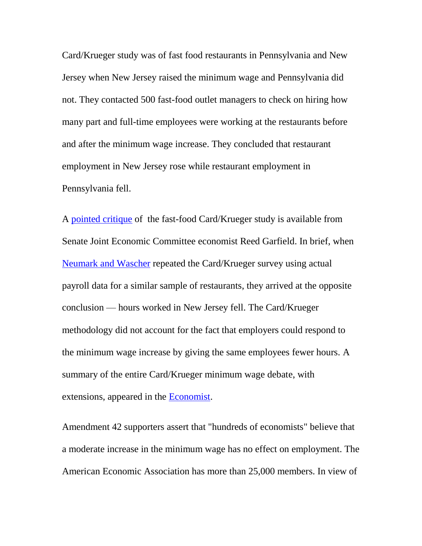Card/Krueger study was of fast food restaurants in Pennsylvania and New Jersey when New Jersey raised the minimum wage and Pennsylvania did not. They contacted 500 fast-food outlet managers to check on hiring how many part and full-time employees were working at the restaurants before and after the minimum wage increase. They concluded that restaurant employment in New Jersey rose while restaurant employment in Pennsylvania fell.

A [pointed critique](http://www.house.gov/jec/cost-gov/regs/minimum/illusion.htm) of the fast-food Card/Krueger study is available from Senate Joint Economic Committee economist Reed Garfield. In brief, when [Neumark](http://www.econ.jhu.edu/people/Barnow/neumarmw.pdf#search=%22%22American%20Economic%20Review%22%20Neumark%20Card%20Krueger%20%22minimum%20wage%22%20New%20Jersey%20debate%22) and Wascher repeated the Card/Krueger survey using actual payroll data for a similar sample of restaurants, they arrived at the opposite conclusion — hours worked in New Jersey fell. The Card/Krueger methodology did not account for the fact that employers could respond to the minimum wage increase by giving the same employees fewer hours. A summary of the entire Card/Krueger minimum wage debate, with extensions, appeared in the [Economist.](http://www-personal.umich.edu/~kathrynd/minimumwage.pdf#search=%22%22American%20Economic%20Review%22%20employment%20Card%20Krueger%20%22minimum%20wage%22%20New%20Jersey%20debate%22)

Amendment 42 supporters assert that "hundreds of economists" believe that a moderate increase in the minimum wage has no effect on employment. The American Economic Association has more than 25,000 members. In view of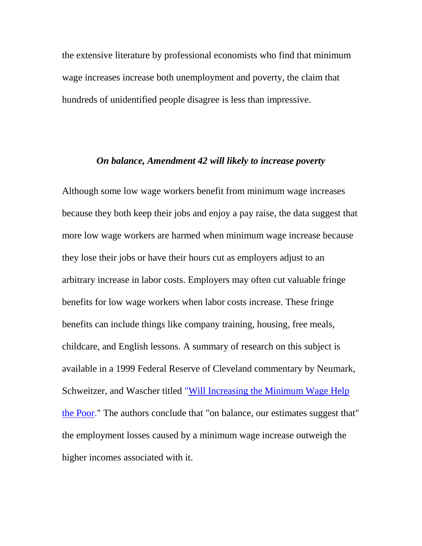the extensive literature by professional economists who find that minimum wage increases increase both unemployment and poverty, the claim that hundreds of unidentified people disagree is less than impressive.

### *On balance, Amendment 42 will likely to increase poverty*

Although some low wage workers benefit from minimum wage increases because they both keep their jobs and enjoy a pay raise, the data suggest that more low wage workers are harmed when minimum wage increase because they lose their jobs or have their hours cut as employers adjust to an arbitrary increase in labor costs. Employers may often cut valuable fringe benefits for low wage workers when labor costs increase. These fringe benefits can include things like company training, housing, free meals, childcare, and English lessons. A summary of research on this subject is available in a 1999 Federal Reserve of Cleveland commentary by Neumark, Schweitzer, and Wascher titled ["Will Increasing the Minimum Wage Help](http://www.clevelandfed.org/research/com99/0201.pdf)  [the Poor."](http://www.clevelandfed.org/research/com99/0201.pdf) The authors conclude that "on balance, our estimates suggest that" the employment losses caused by a minimum wage increase outweigh the higher incomes associated with it.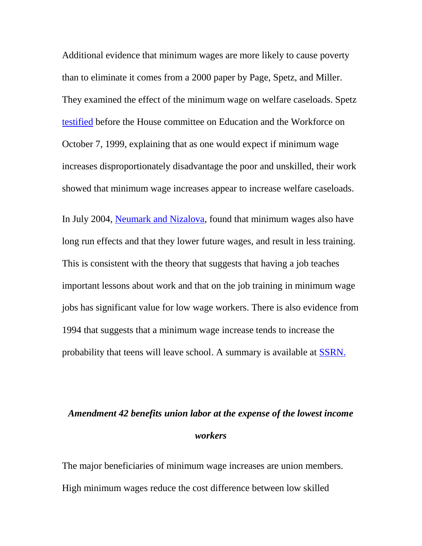Additional evidence that minimum wages are more likely to cause poverty than to eliminate it comes from a 2000 paper by Page, Spetz, and Miller. They examined the effect of the minimum wage on welfare caseloads. Spetz [testified](http://edworkforce.house.gov/hearings/106th/fc/minwage10799/spetz.htm) before the House committee on Education and the Workforce on October 7, 1999, explaining that as one would expect if minimum wage increases disproportionately disadvantage the poor and unskilled, their work showed that minimum wage increases appear to increase welfare caseloads.

In July 2004, [Neumark and Nizalova,](http://www.nber.org/papers/w10656) found that minimum wages also have long run effects and that they lower future wages, and result in less training. This is consistent with the theory that suggests that having a job teaches important lessons about work and that on the job training in minimum wage jobs has significant value for low wage workers. There is also evidence from 1994 that suggests that a minimum wage increase tends to increase the probability that teens will leave school. A summary is available at [SSRN.](http://papers.ssrn.com/sol3/papers.cfm?abstract_id=254552)

# *Amendment 42 benefits union labor at the expense of the lowest income workers*

The major beneficiaries of minimum wage increases are union members. High minimum wages reduce the cost difference between low skilled